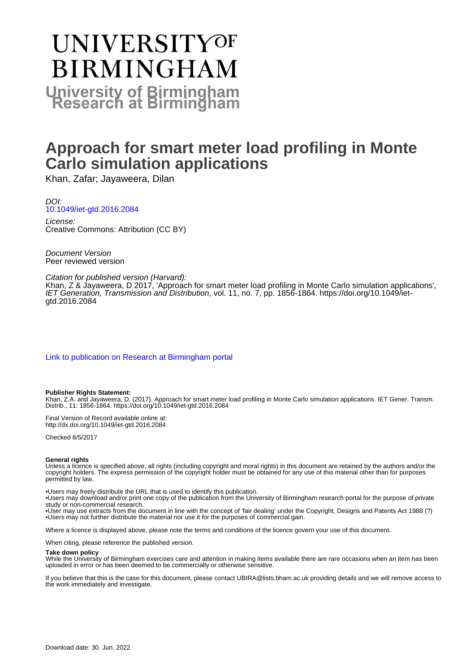# UNIVERSITYOF **BIRMINGHAM University of Birmingham**

## **Approach for smart meter load profiling in Monte Carlo simulation applications**

Khan, Zafar; Jayaweera, Dilan

## DOI: [10.1049/iet-gtd.2016.2084](https://doi.org/10.1049/iet-gtd.2016.2084)

License: Creative Commons: Attribution (CC BY)

Document Version Peer reviewed version

## Citation for published version (Harvard):

Khan, Z & Jayaweera, D 2017, 'Approach for smart meter load profiling in Monte Carlo simulation applications', IET Generation, Transmission and Distribution, vol. 11, no. 7, pp. 1856-1864. [https://doi.org/10.1049/iet](https://doi.org/10.1049/iet-gtd.2016.2084)[gtd.2016.2084](https://doi.org/10.1049/iet-gtd.2016.2084)

[Link to publication on Research at Birmingham portal](https://birmingham.elsevierpure.com/en/publications/041802ba-5271-4212-92b7-1d41eccbf3b4)

## **Publisher Rights Statement:**

Khan, Z.A. and Jayaweera, D. (2017), Approach for smart meter load profiling in Monte Carlo simulation applications. IET Gener. Transm. Distrib., 11: 1856-1864. https://doi.org/10.1049/iet-gtd.2016.2084

Final Version of Record available online at: http://dx.doi.org/10.1049/iet-gtd.2016.2084

Checked 8/5/2017

## **General rights**

Unless a licence is specified above, all rights (including copyright and moral rights) in this document are retained by the authors and/or the copyright holders. The express permission of the copyright holder must be obtained for any use of this material other than for purposes permitted by law.

• Users may freely distribute the URL that is used to identify this publication.

• Users may download and/or print one copy of the publication from the University of Birmingham research portal for the purpose of private study or non-commercial research.

• User may use extracts from the document in line with the concept of 'fair dealing' under the Copyright, Designs and Patents Act 1988 (?) • Users may not further distribute the material nor use it for the purposes of commercial gain.

Where a licence is displayed above, please note the terms and conditions of the licence govern your use of this document.

When citing, please reference the published version.

## **Take down policy**

While the University of Birmingham exercises care and attention in making items available there are rare occasions when an item has been uploaded in error or has been deemed to be commercially or otherwise sensitive.

If you believe that this is the case for this document, please contact UBIRA@lists.bham.ac.uk providing details and we will remove access to the work immediately and investigate.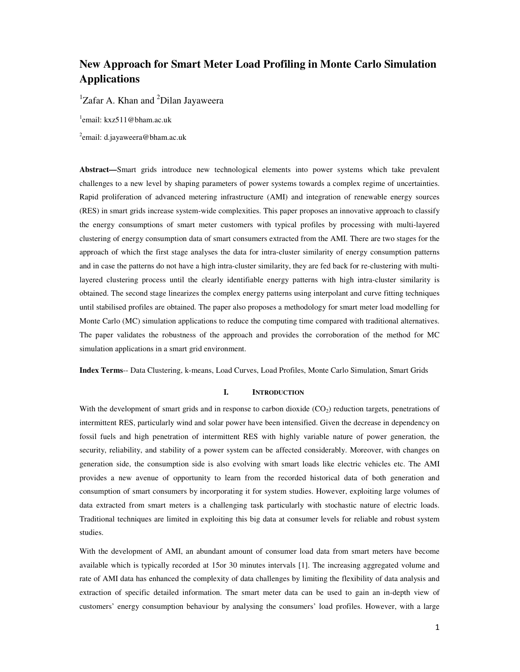## **New Approach for Smart Meter Load Profiling in Monte Carlo Simulation Applications**

 ${}^{1}Z$ afar A. Khan and  ${}^{2}D$ ilan Jayaweera

1 email: kxz511@bham.ac.uk

<sup>2</sup>email: d.jayaweera@bham.ac.uk

**Abstract—**Smart grids introduce new technological elements into power systems which take prevalent challenges to a new level by shaping parameters of power systems towards a complex regime of uncertainties. Rapid proliferation of advanced metering infrastructure (AMI) and integration of renewable energy sources (RES) in smart grids increase system-wide complexities. This paper proposes an innovative approach to classify the energy consumptions of smart meter customers with typical profiles by processing with multi-layered clustering of energy consumption data of smart consumers extracted from the AMI. There are two stages for the approach of which the first stage analyses the data for intra-cluster similarity of energy consumption patterns and in case the patterns do not have a high intra-cluster similarity, they are fed back for re-clustering with multilayered clustering process until the clearly identifiable energy patterns with high intra-cluster similarity is obtained. The second stage linearizes the complex energy patterns using interpolant and curve fitting techniques until stabilised profiles are obtained. The paper also proposes a methodology for smart meter load modelling for Monte Carlo (MC) simulation applications to reduce the computing time compared with traditional alternatives. The paper validates the robustness of the approach and provides the corroboration of the method for MC simulation applications in a smart grid environment.

**Index Terms**-- Data Clustering, k-means, Load Curves, Load Profiles, Monte Carlo Simulation, Smart Grids

## **I. INTRODUCTION**

With the development of smart grids and in response to carbon dioxide  $(CO<sub>2</sub>)$  reduction targets, penetrations of intermittent RES, particularly wind and solar power have been intensified. Given the decrease in dependency on fossil fuels and high penetration of intermittent RES with highly variable nature of power generation, the security, reliability, and stability of a power system can be affected considerably. Moreover, with changes on generation side, the consumption side is also evolving with smart loads like electric vehicles etc. The AMI provides a new avenue of opportunity to learn from the recorded historical data of both generation and consumption of smart consumers by incorporating it for system studies. However, exploiting large volumes of data extracted from smart meters is a challenging task particularly with stochastic nature of electric loads. Traditional techniques are limited in exploiting this big data at consumer levels for reliable and robust system studies.

With the development of AMI, an abundant amount of consumer load data from smart meters have become available which is typically recorded at 15or 30 minutes intervals [1]. The increasing aggregated volume and rate of AMI data has enhanced the complexity of data challenges by limiting the flexibility of data analysis and extraction of specific detailed information. The smart meter data can be used to gain an in-depth view of customers' energy consumption behaviour by analysing the consumers' load profiles. However, with a large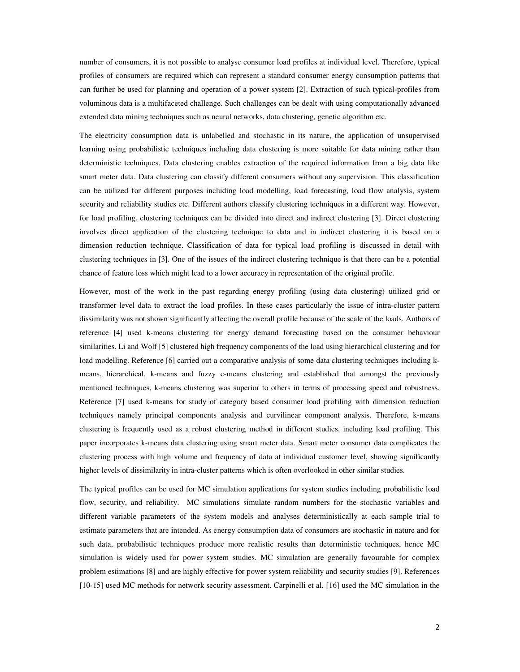number of consumers, it is not possible to analyse consumer load profiles at individual level. Therefore, typical profiles of consumers are required which can represent a standard consumer energy consumption patterns that can further be used for planning and operation of a power system [2]. Extraction of such typical-profiles from voluminous data is a multifaceted challenge. Such challenges can be dealt with using computationally advanced extended data mining techniques such as neural networks, data clustering, genetic algorithm etc.

The electricity consumption data is unlabelled and stochastic in its nature, the application of unsupervised learning using probabilistic techniques including data clustering is more suitable for data mining rather than deterministic techniques. Data clustering enables extraction of the required information from a big data like smart meter data. Data clustering can classify different consumers without any supervision. This classification can be utilized for different purposes including load modelling, load forecasting, load flow analysis, system security and reliability studies etc. Different authors classify clustering techniques in a different way. However, for load profiling, clustering techniques can be divided into direct and indirect clustering [3]. Direct clustering involves direct application of the clustering technique to data and in indirect clustering it is based on a dimension reduction technique. Classification of data for typical load profiling is discussed in detail with clustering techniques in [3]. One of the issues of the indirect clustering technique is that there can be a potential chance of feature loss which might lead to a lower accuracy in representation of the original profile.

However, most of the work in the past regarding energy profiling (using data clustering) utilized grid or transformer level data to extract the load profiles. In these cases particularly the issue of intra-cluster pattern dissimilarity was not shown significantly affecting the overall profile because of the scale of the loads. Authors of reference [4] used k-means clustering for energy demand forecasting based on the consumer behaviour similarities. Li and Wolf [5] clustered high frequency components of the load using hierarchical clustering and for load modelling. Reference [6] carried out a comparative analysis of some data clustering techniques including kmeans, hierarchical, k-means and fuzzy c-means clustering and established that amongst the previously mentioned techniques, k-means clustering was superior to others in terms of processing speed and robustness. Reference [7] used k-means for study of category based consumer load profiling with dimension reduction techniques namely principal components analysis and curvilinear component analysis. Therefore, k-means clustering is frequently used as a robust clustering method in different studies, including load profiling. This paper incorporates k-means data clustering using smart meter data. Smart meter consumer data complicates the clustering process with high volume and frequency of data at individual customer level, showing significantly higher levels of dissimilarity in intra-cluster patterns which is often overlooked in other similar studies.

The typical profiles can be used for MC simulation applications for system studies including probabilistic load flow, security, and reliability. MC simulations simulate random numbers for the stochastic variables and different variable parameters of the system models and analyses deterministically at each sample trial to estimate parameters that are intended. As energy consumption data of consumers are stochastic in nature and for such data, probabilistic techniques produce more realistic results than deterministic techniques, hence MC simulation is widely used for power system studies. MC simulation are generally favourable for complex problem estimations [8] and are highly effective for power system reliability and security studies [9]. References [10-15] used MC methods for network security assessment. Carpinelli et al. [16] used the MC simulation in the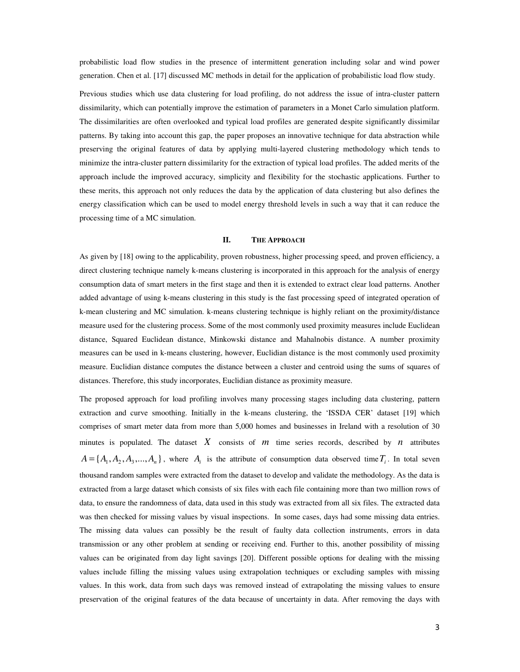probabilistic load flow studies in the presence of intermittent generation including solar and wind power generation. Chen et al. [17] discussed MC methods in detail for the application of probabilistic load flow study.

Previous studies which use data clustering for load profiling, do not address the issue of intra-cluster pattern dissimilarity, which can potentially improve the estimation of parameters in a Monet Carlo simulation platform. The dissimilarities are often overlooked and typical load profiles are generated despite significantly dissimilar patterns. By taking into account this gap, the paper proposes an innovative technique for data abstraction while preserving the original features of data by applying multi-layered clustering methodology which tends to minimize the intra-cluster pattern dissimilarity for the extraction of typical load profiles. The added merits of the approach include the improved accuracy, simplicity and flexibility for the stochastic applications. Further to these merits, this approach not only reduces the data by the application of data clustering but also defines the energy classification which can be used to model energy threshold levels in such a way that it can reduce the processing time of a MC simulation.

## **II. THE APPROACH**

As given by [18] owing to the applicability, proven robustness, higher processing speed, and proven efficiency, a direct clustering technique namely k-means clustering is incorporated in this approach for the analysis of energy consumption data of smart meters in the first stage and then it is extended to extract clear load patterns. Another added advantage of using k-means clustering in this study is the fast processing speed of integrated operation of k-mean clustering and MC simulation. k-means clustering technique is highly reliant on the proximity/distance measure used for the clustering process. Some of the most commonly used proximity measures include Euclidean distance, Squared Euclidean distance, Minkowski distance and Mahalnobis distance. A number proximity measures can be used in k-means clustering, however, Euclidian distance is the most commonly used proximity measure. Euclidian distance computes the distance between a cluster and centroid using the sums of squares of distances. Therefore, this study incorporates, Euclidian distance as proximity measure.

The proposed approach for load profiling involves many processing stages including data clustering, pattern extraction and curve smoothing. Initially in the k-means clustering, the 'ISSDA CER' dataset [19] which comprises of smart meter data from more than 5,000 homes and businesses in Ireland with a resolution of 30 minutes is populated. The dataset  $X$  consists of  $m$  time series records, described by  $n$  attributes  $A = \{A_1, A_2, A_3, \dots, A_n\}$ , where  $A_i$  is the attribute of consumption data observed time  $T_i$ . In total seven thousand random samples were extracted from the dataset to develop and validate the methodology. As the data is extracted from a large dataset which consists of six files with each file containing more than two million rows of data, to ensure the randomness of data, data used in this study was extracted from all six files. The extracted data was then checked for missing values by visual inspections. In some cases, days had some missing data entries. The missing data values can possibly be the result of faulty data collection instruments, errors in data transmission or any other problem at sending or receiving end. Further to this, another possibility of missing values can be originated from day light savings [20]. Different possible options for dealing with the missing values include filling the missing values using extrapolation techniques or excluding samples with missing values. In this work, data from such days was removed instead of extrapolating the missing values to ensure preservation of the original features of the data because of uncertainty in data. After removing the days with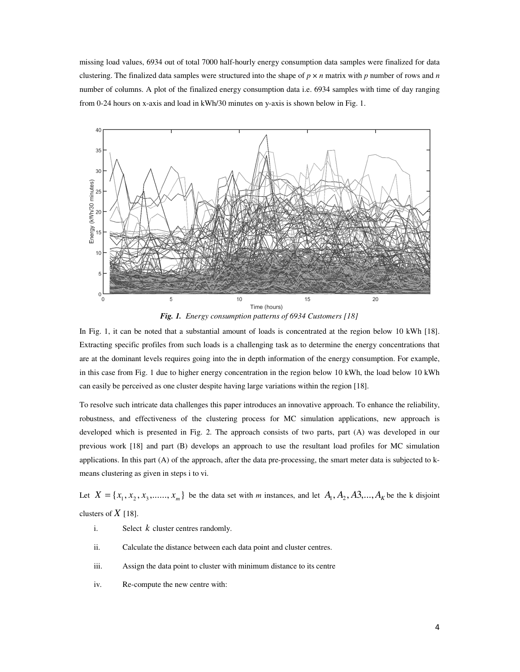missing load values, 6934 out of total 7000 half-hourly energy consumption data samples were finalized for data clustering. The finalized data samples were structured into the shape of  $p \times n$  matrix with p number of rows and n number of columns. A plot of the finalized energy consumption data i.e. 6934 samples with time of day ranging from 0-24 hours on x-axis and load in kWh/30 minutes on y-axis is shown below in Fig. 1.



*Fig. 1. Energy consumption patterns of 6934 Customers [18]*

In Fig. 1, it can be noted that a substantial amount of loads is concentrated at the region below 10 kWh [18]. Extracting specific profiles from such loads is a challenging task as to determine the energy concentrations that are at the dominant levels requires going into the in depth information of the energy consumption. For example, in this case from Fig. 1 due to higher energy concentration in the region below 10 kWh, the load below 10 kWh can easily be perceived as one cluster despite having large variations within the region [18].

To resolve such intricate data challenges this paper introduces an innovative approach. To enhance the reliability, robustness, and effectiveness of the clustering process for MC simulation applications, new approach is developed which is presented in Fig. 2. The approach consists of two parts, part (A) was developed in our previous work [18] and part (B) develops an approach to use the resultant load profiles for MC simulation applications. In this part (A) of the approach, after the data pre-processing, the smart meter data is subjected to kmeans clustering as given in steps i to vi.

Let  $X = \{x_1, x_2, x_3, \dots, x_m\}$  be the data set with *m* instances, and let  $A_1, A_2, A_3, \dots, A_k$  be the k disjoint clusters of  $X$  [18].

- i. Select *k* cluster centres randomly.
- ii. Calculate the distance between each data point and cluster centres.
- iii. Assign the data point to cluster with minimum distance to its centre
- iv. Re-compute the new centre with: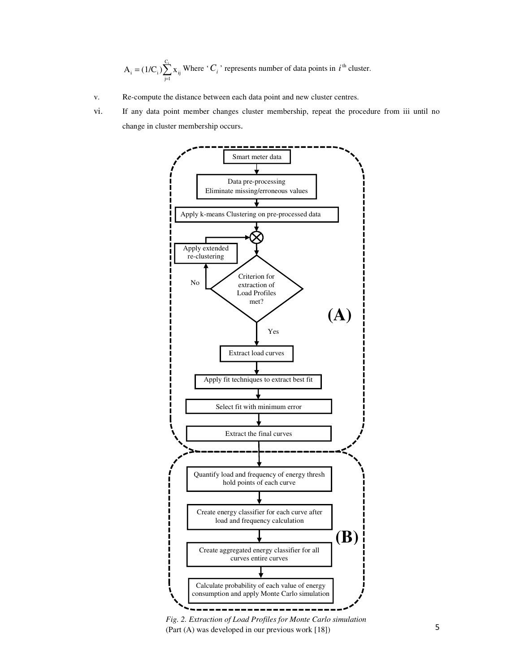$=(1/C_i)\sum_{i=1}^{C_i}$  $A_i = (1/C_i) \sum_{j=1}^{n} x_{ij}$  Where '*C<sub>i</sub>*' represents number of data points in *i*<sup>th</sup> cluster.

- v. Re-compute the distance between each data point and new cluster centres.
- vi. If any data point member changes cluster membership, repeat the procedure from iii until no change in cluster membership occurs.



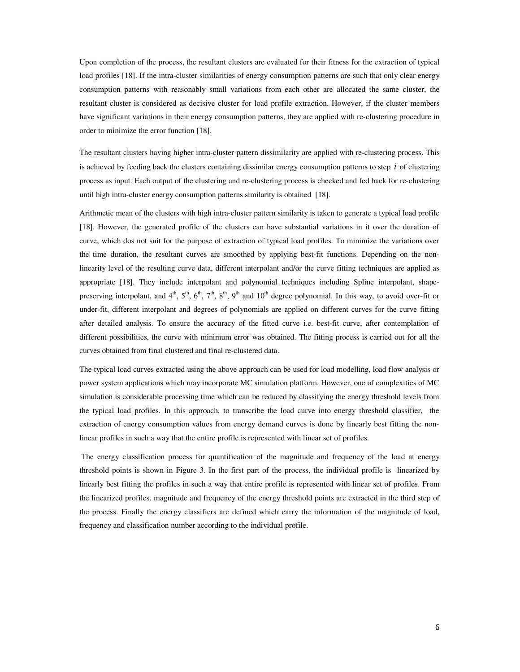Upon completion of the process, the resultant clusters are evaluated for their fitness for the extraction of typical load profiles [18]. If the intra-cluster similarities of energy consumption patterns are such that only clear energy consumption patterns with reasonably small variations from each other are allocated the same cluster, the resultant cluster is considered as decisive cluster for load profile extraction. However, if the cluster members have significant variations in their energy consumption patterns, they are applied with re-clustering procedure in order to minimize the error function [18].

The resultant clusters having higher intra-cluster pattern dissimilarity are applied with re-clustering process. This is achieved by feeding back the clusters containing dissimilar energy consumption patterns to step  $i$  of clustering process as input. Each output of the clustering and re-clustering process is checked and fed back for re-clustering until high intra-cluster energy consumption patterns similarity is obtained [18].

Arithmetic mean of the clusters with high intra-cluster pattern similarity is taken to generate a typical load profile [18]. However, the generated profile of the clusters can have substantial variations in it over the duration of curve, which dos not suit for the purpose of extraction of typical load profiles. To minimize the variations over the time duration, the resultant curves are smoothed by applying best-fit functions. Depending on the nonlinearity level of the resulting curve data, different interpolant and/or the curve fitting techniques are applied as appropriate [18]. They include interpolant and polynomial techniques including Spline interpolant, shapepreserving interpolant, and  $4^{th}$ ,  $5^{th}$ ,  $6^{th}$ ,  $7^{th}$ ,  $8^{th}$ ,  $9^{th}$  and  $10^{th}$  degree polynomial. In this way, to avoid over-fit or under-fit, different interpolant and degrees of polynomials are applied on different curves for the curve fitting after detailed analysis. To ensure the accuracy of the fitted curve i.e. best-fit curve, after contemplation of different possibilities, the curve with minimum error was obtained. The fitting process is carried out for all the curves obtained from final clustered and final re-clustered data.

The typical load curves extracted using the above approach can be used for load modelling, load flow analysis or power system applications which may incorporate MC simulation platform. However, one of complexities of MC simulation is considerable processing time which can be reduced by classifying the energy threshold levels from the typical load profiles. In this approach, to transcribe the load curve into energy threshold classifier, the extraction of energy consumption values from energy demand curves is done by linearly best fitting the nonlinear profiles in such a way that the entire profile is represented with linear set of profiles.

The energy classification process for quantification of the magnitude and frequency of the load at energy threshold points is shown in Figure 3. In the first part of the process, the individual profile is linearized by linearly best fitting the profiles in such a way that entire profile is represented with linear set of profiles. From the linearized profiles, magnitude and frequency of the energy threshold points are extracted in the third step of the process. Finally the energy classifiers are defined which carry the information of the magnitude of load, frequency and classification number according to the individual profile.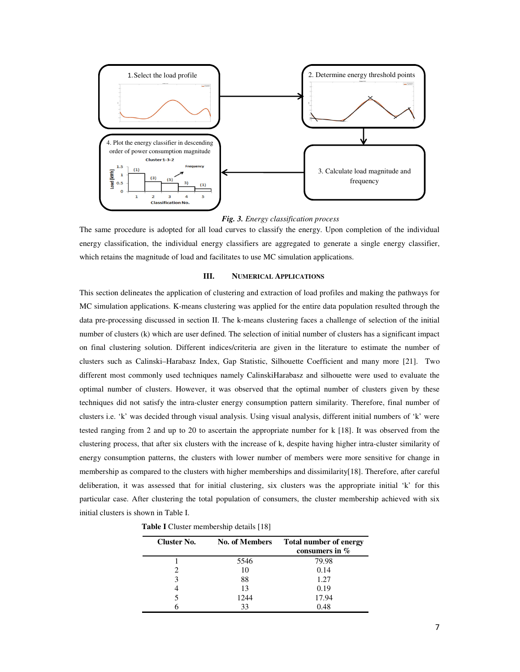

*Fig. 3. Energy classification process* 

The same procedure is adopted for all load curves to classify the energy. Upon completion of the individual energy classification, the individual energy classifiers are aggregated to generate a single energy classifier, which retains the magnitude of load and facilitates to use MC simulation applications.

## **III. NUMERICAL APPLICATIONS**

This section delineates the application of clustering and extraction of load profiles and making the pathways for MC simulation applications. K-means clustering was applied for the entire data population resulted through the data pre-processing discussed in section II. The k-means clustering faces a challenge of selection of the initial number of clusters (k) which are user defined. The selection of initial number of clusters has a significant impact on final clustering solution. Different indices/criteria are given in the literature to estimate the number of clusters such as Calinski–Harabasz Index, Gap Statistic, Silhouette Coefficient and many more [21]. Two different most commonly used techniques namely CalinskiHarabasz and silhouette were used to evaluate the optimal number of clusters. However, it was observed that the optimal number of clusters given by these techniques did not satisfy the intra-cluster energy consumption pattern similarity. Therefore, final number of clusters i.e. 'k' was decided through visual analysis. Using visual analysis, different initial numbers of 'k' were tested ranging from 2 and up to 20 to ascertain the appropriate number for k [18]. It was observed from the clustering process, that after six clusters with the increase of k, despite having higher intra-cluster similarity of energy consumption patterns, the clusters with lower number of members were more sensitive for change in membership as compared to the clusters with higher memberships and dissimilarity[18]. Therefore, after careful deliberation, it was assessed that for initial clustering, six clusters was the appropriate initial 'k' for this particular case. After clustering the total population of consumers, the cluster membership achieved with six initial clusters is shown in Table I.

**Table I** Cluster membership details [18]

| Cluster No. | <b>No. of Members</b> | <b>Total number of energy</b><br>consumers in % |
|-------------|-----------------------|-------------------------------------------------|
|             | 5546                  | 79.98                                           |
|             | 10                    | 0.14                                            |
|             | 88                    | 1.27                                            |
|             | 13                    | 0.19                                            |
|             | 1244                  | 17.94                                           |
|             | 33                    | 0.48                                            |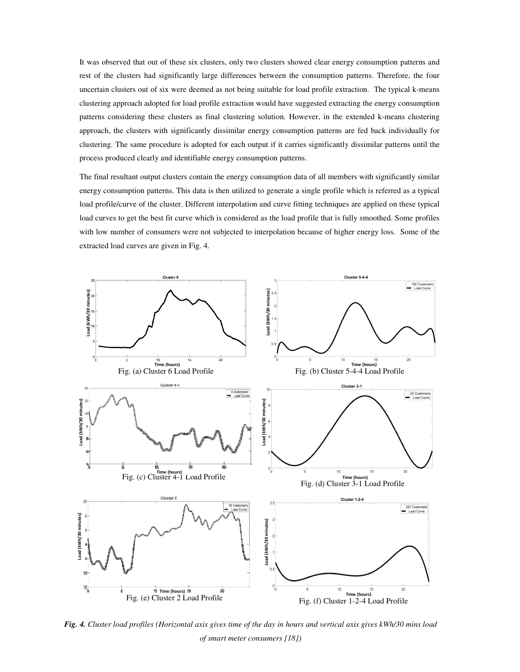It was observed that out of these six clusters, only two clusters showed clear energy consumption patterns and rest of the clusters had significantly large differences between the consumption patterns. Therefore, the four uncertain clusters out of six were deemed as not being suitable for load profile extraction. The typical k-means clustering approach adopted for load profile extraction would have suggested extracting the energy consumption patterns considering these clusters as final clustering solution. However, in the extended k-means clustering approach, the clusters with significantly dissimilar energy consumption patterns are fed back individually for clustering. The same procedure is adopted for each output if it carries significantly dissimilar patterns until the process produced clearly and identifiable energy consumption patterns.

The final resultant output clusters contain the energy consumption data of all members with significantly similar energy consumption patterns. This data is then utilized to generate a single profile which is referred as a typical load profile/curve of the cluster. Different interpolation and curve fitting techniques are applied on these typical load curves to get the best fit curve which is considered as the load profile that is fully smoothed. Some profiles with low number of consumers were not subjected to interpolation because of higher energy loss. Some of the extracted load curves are given in Fig. 4.



8 *Fig. 4. Cluster load profiles (Horizontal axis gives time of the day in hours and vertical axis gives kWh/30 mins load of smart meter consumers [18])*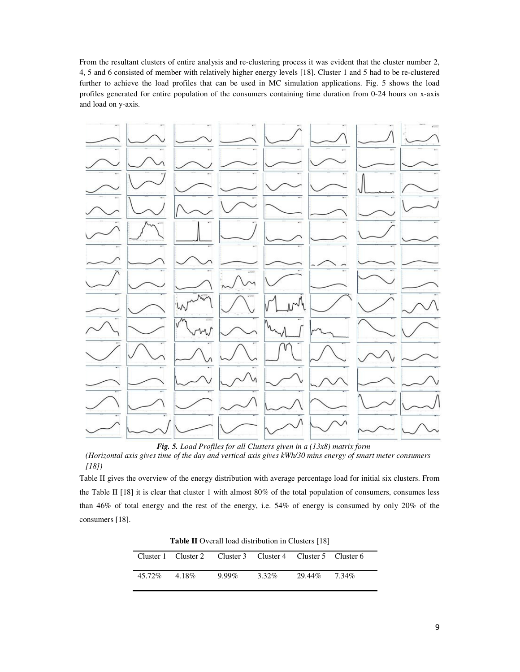From the resultant clusters of entire analysis and re-clustering process it was evident that the cluster number 2, 4, 5 and 6 consisted of member with relatively higher energy levels [18]. Cluster 1 and 5 had to be re-clustered further to achieve the load profiles that can be used in MC simulation applications. Fig. 5 shows the load profiles generated for entire population of the consumers containing time duration from 0-24 hours on x-axis and load on y-axis.



*Fig. 5. Load Profiles for all Clusters given in a (13x8) matrix form* 

*(Horizontal axis gives time of the day and vertical axis gives kWh/30 mins energy of smart meter consumers [18])*

Table II gives the overview of the energy distribution with average percentage load for initial six clusters. From the Table II [18] it is clear that cluster 1 with almost 80% of the total population of consumers, consumes less than 46% of total energy and the rest of the energy, i.e. 54% of energy is consumed by only 20% of the consumers [18].

**Table II** Overall load distribution in Clusters [18]

|                | Cluster 1 Cluster 2 Cluster 3 Cluster 4 Cluster 5 Cluster 6 |          |       |              |  |
|----------------|-------------------------------------------------------------|----------|-------|--------------|--|
| 45.72\% 4.18\% |                                                             | $9.99\%$ | 3.32% | 29.44% 7.34% |  |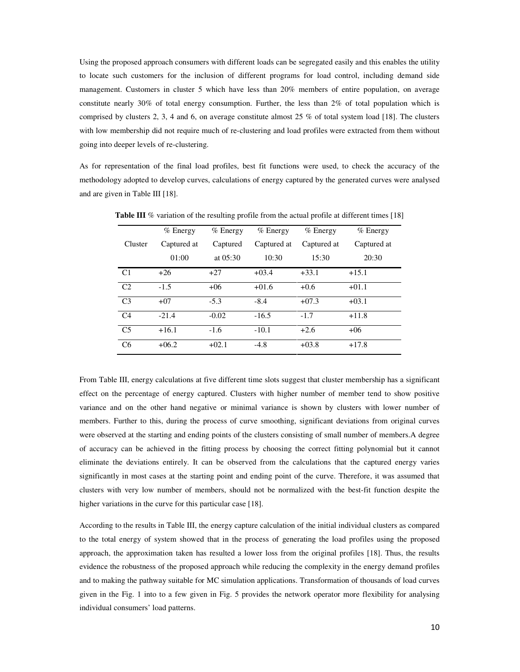Using the proposed approach consumers with different loads can be segregated easily and this enables the utility to locate such customers for the inclusion of different programs for load control, including demand side management. Customers in cluster 5 which have less than 20% members of entire population, on average constitute nearly 30% of total energy consumption. Further, the less than 2% of total population which is comprised by clusters 2, 3, 4 and 6, on average constitute almost 25 % of total system load [18]. The clusters with low membership did not require much of re-clustering and load profiles were extracted from them without going into deeper levels of re-clustering.

As for representation of the final load profiles, best fit functions were used, to check the accuracy of the methodology adopted to develop curves, calculations of energy captured by the generated curves were analysed and are given in Table III [18].

|                | $%$ Energy  | $%$ Energy | % Energy    | % Energy    | $%$ Energy<br>Captured at |  |  |  |
|----------------|-------------|------------|-------------|-------------|---------------------------|--|--|--|
| Cluster        | Captured at | Captured   | Captured at | Captured at |                           |  |  |  |
|                | 01:00       | at $05:30$ | 10:30       | 15:30       | 20:30                     |  |  |  |
| C <sub>1</sub> | $+26$       | $+27$      | $+03.4$     | $+33.1$     | $+15.1$                   |  |  |  |
| C2             | $-1.5$      | $+06$      | $+01.6$     | $+0.6$      | $+01.1$                   |  |  |  |
| C <sub>3</sub> | $+07$       | $-5.3$     | $-8.4$      | $+07.3$     | $+03.1$                   |  |  |  |
| C <sub>4</sub> | $-21.4$     | $-0.02$    | $-16.5$     | $-1.7$      | $+11.8$                   |  |  |  |
| C <sub>5</sub> | $+16.1$     | $-1.6$     | $-10.1$     | $+2.6$      | $+06$                     |  |  |  |
| C <sub>6</sub> | $+06.2$     | $+02.1$    | $-4.8$      | $+03.8$     | $+17.8$                   |  |  |  |

**Table III** % variation of the resulting profile from the actual profile at different times [18]

From Table III, energy calculations at five different time slots suggest that cluster membership has a significant effect on the percentage of energy captured. Clusters with higher number of member tend to show positive variance and on the other hand negative or minimal variance is shown by clusters with lower number of members. Further to this, during the process of curve smoothing, significant deviations from original curves were observed at the starting and ending points of the clusters consisting of small number of members.A degree of accuracy can be achieved in the fitting process by choosing the correct fitting polynomial but it cannot eliminate the deviations entirely. It can be observed from the calculations that the captured energy varies significantly in most cases at the starting point and ending point of the curve. Therefore, it was assumed that clusters with very low number of members, should not be normalized with the best-fit function despite the higher variations in the curve for this particular case [18].

According to the results in Table III, the energy capture calculation of the initial individual clusters as compared to the total energy of system showed that in the process of generating the load profiles using the proposed approach, the approximation taken has resulted a lower loss from the original profiles [18]. Thus, the results evidence the robustness of the proposed approach while reducing the complexity in the energy demand profiles and to making the pathway suitable for MC simulation applications. Transformation of thousands of load curves given in the Fig. 1 into to a few given in Fig. 5 provides the network operator more flexibility for analysing individual consumers' load patterns.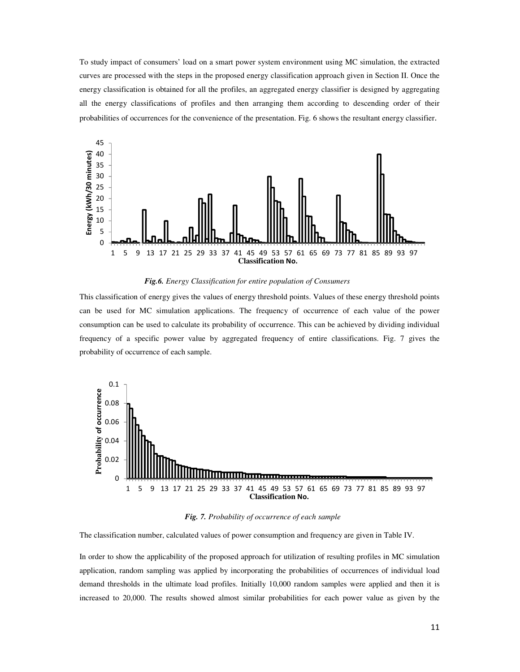To study impact of consumers' load on a smart power system environment using MC simulation, the extracted curves are processed with the steps in the proposed energy classification approach given in Section II. Once the energy classification is obtained for all the profiles, an aggregated energy classifier is designed by aggregating all the energy classifications of profiles and then arranging them according to descending order of their probabilities of occurrences for the convenience of the presentation. Fig. 6 shows the resultant energy classifier.



*Fig.6. Energy Classification for entire population of Consumers* 

This classification of energy gives the values of energy threshold points. Values of these energy threshold points can be used for MC simulation applications. The frequency of occurrence of each value of the power consumption can be used to calculate its probability of occurrence. This can be achieved by dividing individual frequency of a specific power value by aggregated frequency of entire classifications. Fig. 7 gives the probability of occurrence of each sample.



*Fig. 7. Probability of occurrence of each sample* 

The classification number, calculated values of power consumption and frequency are given in Table IV.

In order to show the applicability of the proposed approach for utilization of resulting profiles in MC simulation application, random sampling was applied by incorporating the probabilities of occurrences of individual load demand thresholds in the ultimate load profiles. Initially 10,000 random samples were applied and then it is increased to 20,000. The results showed almost similar probabilities for each power value as given by the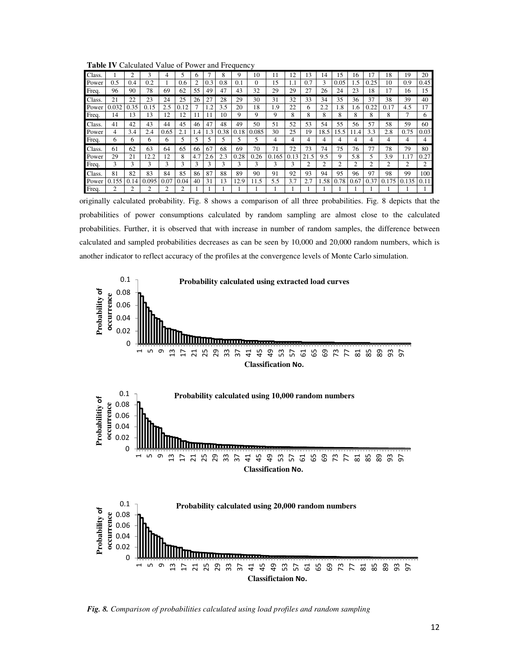**Table IV** Calculated Value of Power and Frequency

|              |       |      |                |      |                |                |     |      | $\cdots$ |       |       |      |      |      |      |      |      |       |       |      |
|--------------|-------|------|----------------|------|----------------|----------------|-----|------|----------|-------|-------|------|------|------|------|------|------|-------|-------|------|
| <b>Class</b> |       | 2    | 3              | 4    | 5              | 6              |     | 8    | 9        | 10    | 11    | 12   | 13   | 14   | 15   | 16   | 17   | 18    | 19    | 20   |
| Power        | 0.5   | 0.4  | 0.2            | 1    | 0.6            | $\overline{c}$ | 0.3 | 0.8  | 0.1      | 0     | 15    | 1.1  | 0.7  | 3    | 0.05 | 1.5  | 0.25 | 10    | 0.9   | 0.45 |
| Freq.        | 96    | 90   | 78             | 69   | 62             | 55             | 49  | 47   | 43       | 32    | 29    | 29   | 27   | 26   | 24   | 23   | 18   | 17    | 16    | 15   |
| Class.       | 21    | 22   | 23             | 24   | 25             | 26             | 27  | 28   | 29       | 30    | 31    | 32   | 33   | 34   | 35   | 36   | 37   | 38    | 39    | 40   |
| Power        | 0.032 | 0.35 | 0.15           | 2.5  | 0.12           |                | 1.2 | 3.5  | 20       | 18    | 1.9   | 22   | 6    | 2.2  | 1.8  | 1.6  | 0.22 | 0.17  | 4.5   | 17   |
| Freq.        | 14    | 13   | 13             | 12   | 12             | 11             |     | 10   | 9        | 9     | 9     | 8    | 8    | 8    | 8    | 8    | 8    | 8     |       | 6    |
| <b>Class</b> | 41    | 42   | 43             | 44   | 45             | 46             | 47  | 48   | 49       | 50    | 51    | 52   | 53   | 54   | 55   | 56   | 57   | 58    | 59    | 60   |
| Power        | 4     | 3.4  | 2.4            | 0.65 | 2.1            | 1.4            | 1.3 | 0.38 | 0.18     | 0.085 | 30    | 25   | 19   | 18.5 | 15.5 | 11.4 | 3.3  | 2.8   | 0.75  | 0.03 |
| Freq.        | 6     | 6    | 6              | 6    |                | 5              | 5   | C    |          |       | 4     | 4    | 4    | 4    | 4    | 4    | 4    | 4     | 4     |      |
| Class.       | 61    | 62   | 63             | 64   | 65             | 66             | 67  | 68   | 69       | 70    | 71    | 72   | 73   | 74   | 75   | 76   | 77   | 78    | 79    | 80   |
| Power        | 29    | 21   | 2.2            | 12   | 8              | 4.7            | 2.6 | 2.3  | 0.28     | 0.26  | 0.165 | 0.13 | 21.5 | 9.5  | 9    | 5.8  | 5    | 3.9   | 1.17  | 0.27 |
| Freq.        | 3     | 3    | 3              | 3    | 3              | 3              | 3   | 3    | 3        | 3     | 3     | 3    | 2    | 2    |      | 2    | 2    | 2     | 2     | 2    |
| Class.       | 81    | 82   | 83             | 84   | 85             | 86             | 87  | 88   | 89       | 90    | 91    | 92   | 93   | 94   | 95   | 96   | 97   | 98    | 99    | 100  |
| Power        | 0.155 | 0.14 | 0.095          | 0.07 | 0.04           | 40             | 31  | 13   | 12.9     | 11.5  | 5.5   | 3.7  | 2.7  | 1.58 | 0.78 | 0.67 | 0.37 | 0.175 | 0.135 | 0.11 |
| Freq.        | 2     | 2    | $\overline{c}$ | 2    | $\overline{c}$ |                |     |      |          |       |       |      |      |      |      |      |      |       |       |      |

originally calculated probability. Fig. 8 shows a comparison of all three probabilities. Fig. 8 depicts that the probabilities of power consumptions calculated by random sampling are almost close to the calculated probabilities. Further, it is observed that with increase in number of random samples, the difference between calculated and sampled probabilities decreases as can be seen by 10,000 and 20,000 random numbers, which is another indicator to reflect accuracy of the profiles at the convergence levels of Monte Carlo simulation.



*Fig. 8. Comparison of probabilities calculated using load profiles and random sampling*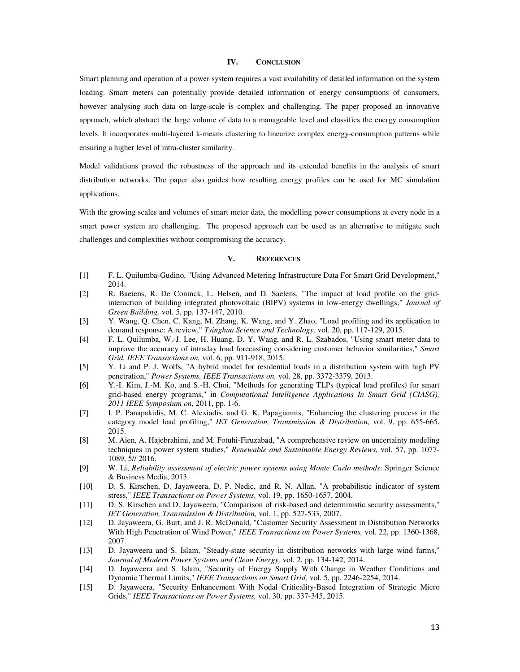## **IV. CONCLUSION**

Smart planning and operation of a power system requires a vast availability of detailed information on the system loading. Smart meters can potentially provide detailed information of energy consumptions of consumers, however analysing such data on large-scale is complex and challenging. The paper proposed an innovative approach, which abstract the large volume of data to a manageable level and classifies the energy consumption levels. It incorporates multi-layered k-means clustering to linearize complex energy-consumption patterns while ensuring a higher level of intra-cluster similarity.

Model validations proved the robustness of the approach and its extended benefits in the analysis of smart distribution networks. The paper also guides how resulting energy profiles can be used for MC simulation applications.

With the growing scales and volumes of smart meter data, the modelling power consumptions at every node in a smart power system are challenging. The proposed approach can be used as an alternative to mitigate such challenges and complexities without compromising the accuracy.

## **V. REFERENCES**

- [1] F. L. Quilumba-Gudino, "Using Advanced Metering Infrastructure Data For Smart Grid Development," 2014.
- [2] R. Baetens, R. De Coninck, L. Helsen, and D. Saelens, "The impact of load profile on the gridinteraction of building integrated photovoltaic (BIPV) systems in low-energy dwellings," *Journal of Green Building,* vol. 5, pp. 137-147, 2010.
- [3] Y. Wang, Q. Chen, C. Kang, M. Zhang, K. Wang, and Y. Zhao, "Load profiling and its application to demand response: A review," *Tsinghua Science and Technology,* vol. 20, pp. 117-129, 2015.
- [4] F. L. Quilumba, W.-J. Lee, H. Huang, D. Y. Wang, and R. L. Szabados, "Using smart meter data to improve the accuracy of intraday load forecasting considering customer behavior similarities," *Smart Grid, IEEE Transactions on,* vol. 6, pp. 911-918, 2015.
- [5] Y. Li and P. J. Wolfs, "A hybrid model for residential loads in a distribution system with high PV penetration," *Power Systems, IEEE Transactions on,* vol. 28, pp. 3372-3379, 2013.
- [6] Y.-I. Kim, J.-M. Ko, and S.-H. Choi, "Methods for generating TLPs (typical load profiles) for smart grid-based energy programs," in *Computational Intelligence Applications In Smart Grid (CIASG), 2011 IEEE Symposium on*, 2011, pp. 1-6.
- [7] I. P. Panapakidis, M. C. Alexiadis, and G. K. Papagiannis, "Enhancing the clustering process in the category model load profiling," *IET Generation, Transmission & Distribution,* vol. 9, pp. 655-665, 2015.
- [8] M. Aien, A. Hajebrahimi, and M. Fotuhi-Firuzabad, "A comprehensive review on uncertainty modeling techniques in power system studies," *Renewable and Sustainable Energy Reviews,* vol. 57, pp. 1077- 1089, 5// 2016.
- [9] W. Li, *Reliability assessment of electric power systems using Monte Carlo methods*: Springer Science & Business Media, 2013.
- [10] D. S. Kirschen, D. Jayaweera, D. P. Nedic, and R. N. Allan, "A probabilistic indicator of system stress," *IEEE Transactions on Power Systems,* vol. 19, pp. 1650-1657, 2004.
- [11] D. S. Kirschen and D. Jayaweera, "Comparison of risk-based and deterministic security assessments," *IET Generation, Transmission & Distribution,* vol. 1, pp. 527-533, 2007.
- [12] D. Jayaweera, G. Burt, and J. R. McDonald, "Customer Security Assessment in Distribution Networks With High Penetration of Wind Power," *IEEE Transactions on Power Systems,* vol. 22, pp. 1360-1368, 2007.
- [13] D. Jayaweera and S. Islam, "Steady-state security in distribution networks with large wind farms," *Journal of Modern Power Systems and Clean Energy,* vol. 2, pp. 134-142, 2014.
- [14] D. Jayaweera and S. Islam, "Security of Energy Supply With Change in Weather Conditions and Dynamic Thermal Limits," *IEEE Transactions on Smart Grid,* vol. 5, pp. 2246-2254, 2014.
- [15] D. Jayaweera, "Security Enhancement With Nodal Criticality-Based Integration of Strategic Micro Grids," *IEEE Transactions on Power Systems,* vol. 30, pp. 337-345, 2015.